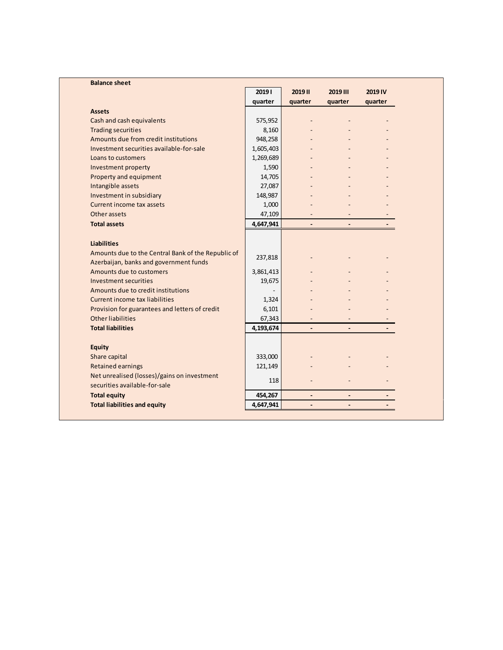| <b>Balance sheet</b>                                                         |           |                |                          |         |  |
|------------------------------------------------------------------------------|-----------|----------------|--------------------------|---------|--|
|                                                                              | 20191     | 2019 II        | 2019 III                 | 2019 IV |  |
|                                                                              | quarter   | quarter        | quarter                  | quarter |  |
| <b>Assets</b>                                                                |           |                |                          |         |  |
| Cash and cash equivalents                                                    | 575,952   | $\overline{a}$ |                          |         |  |
| <b>Trading securities</b>                                                    | 8,160     |                |                          |         |  |
| Amounts due from credit institutions                                         | 948,258   |                |                          |         |  |
| Investment securities available-for-sale                                     | 1,605,403 |                |                          |         |  |
| Loans to customers                                                           | 1,269,689 |                |                          |         |  |
| Investment property                                                          | 1,590     |                |                          |         |  |
| Property and equipment                                                       | 14,705    |                |                          |         |  |
| Intangible assets                                                            | 27,087    |                |                          |         |  |
| Investment in subsidiary                                                     | 148,987   |                |                          |         |  |
| Current income tax assets                                                    | 1,000     |                |                          |         |  |
| Other assets                                                                 | 47,109    |                |                          |         |  |
| <b>Total assets</b>                                                          | 4,647,941 | $\overline{a}$ | $\overline{\phantom{0}}$ |         |  |
| <b>Liabilities</b><br>Amounts due to the Central Bank of the Republic of     |           |                |                          |         |  |
| Azerbaijan, banks and government funds                                       | 237,818   |                |                          |         |  |
| Amounts due to customers                                                     | 3,861,413 |                |                          |         |  |
| <b>Investment securities</b>                                                 | 19,675    |                |                          |         |  |
| Amounts due to credit institutions                                           |           |                |                          |         |  |
| Current income tax liabilities                                               | 1,324     |                |                          |         |  |
| Provision for guarantees and letters of credit                               | 6,101     |                |                          |         |  |
| Other liabilities                                                            | 67,343    |                |                          |         |  |
| <b>Total liabilities</b>                                                     | 4,193,674 |                |                          |         |  |
|                                                                              |           |                |                          |         |  |
| <b>Equity</b>                                                                |           |                |                          |         |  |
| Share capital                                                                | 333,000   |                |                          |         |  |
| Retained earnings                                                            | 121,149   |                |                          |         |  |
| Net unrealised (losses)/gains on investment<br>securities available-for-sale | 118       |                |                          |         |  |
| <b>Total equity</b>                                                          | 454,267   |                |                          |         |  |
|                                                                              | 4,647,941 |                |                          |         |  |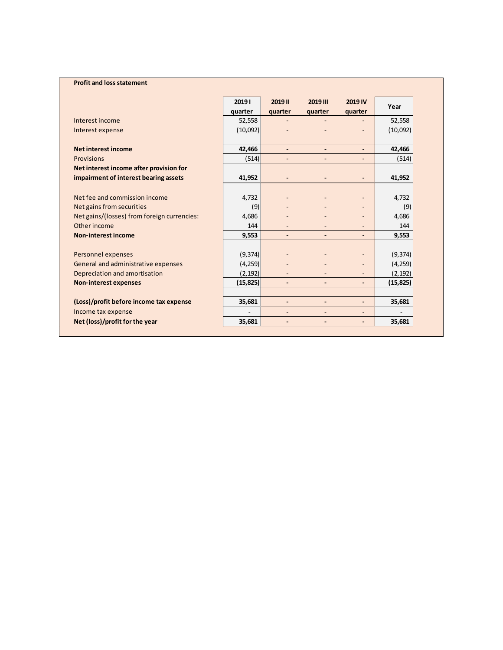## **Profit and loss statement**

|                                             | 20191     | 2019 II                      | 2019 III |                          | Year      |  |
|---------------------------------------------|-----------|------------------------------|----------|--------------------------|-----------|--|
|                                             | quarter   | quarter                      | quarter  | quarter                  |           |  |
| Interest income                             | 52,558    |                              |          |                          | 52,558    |  |
| Interest expense                            | (10,092)  |                              |          |                          | (10,092)  |  |
| <b>Net interest income</b>                  | 42,466    | $\qquad \qquad \blacksquare$ |          | $\overline{\phantom{0}}$ | 42,466    |  |
| Provisions                                  | (514)     |                              |          |                          | (514)     |  |
| Net interest income after provision for     |           |                              |          |                          |           |  |
| impairment of interest bearing assets       | 41,952    |                              |          |                          | 41,952    |  |
|                                             |           |                              |          |                          |           |  |
| Net fee and commission income               | 4,732     |                              |          |                          | 4,732     |  |
| Net gains from securities                   | (9)       |                              |          |                          | (9)       |  |
| Net gains/(losses) from foreign currencies: | 4,686     |                              |          |                          | 4,686     |  |
| Other income                                | 144       |                              |          |                          | 144       |  |
| <b>Non-interest income</b>                  | 9,553     |                              |          | $\overline{\phantom{0}}$ | 9,553     |  |
|                                             |           |                              |          |                          |           |  |
| Personnel expenses                          | (9, 374)  |                              |          |                          | (9, 374)  |  |
| General and administrative expenses         | (4, 259)  |                              |          |                          | (4, 259)  |  |
| Depreciation and amortisation               | (2, 192)  |                              |          |                          | (2, 192)  |  |
| <b>Non-interest expenses</b>                | (15, 825) | $\qquad \qquad \blacksquare$ |          |                          | (15, 825) |  |
|                                             |           |                              |          |                          |           |  |
| (Loss)/profit before income tax expense     | 35,681    |                              |          | $\overline{\phantom{0}}$ | 35,681    |  |
| Income tax expense                          |           |                              |          |                          |           |  |
| Net (loss)/profit for the year              | 35,681    |                              |          |                          | 35,681    |  |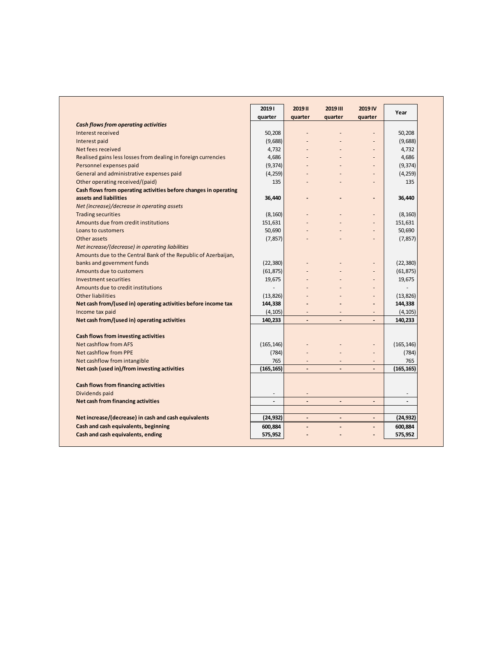|                                                                  | 20191                    | 2019 II                  | 2019 III                 | 2019 IV                  | Year       |
|------------------------------------------------------------------|--------------------------|--------------------------|--------------------------|--------------------------|------------|
|                                                                  | quarter                  | quarter                  | quarter                  | quarter                  |            |
| <b>Cash flows from operating activities</b>                      |                          |                          |                          |                          |            |
| Interest received                                                | 50,208                   |                          |                          | L.                       | 50,208     |
| Interest paid                                                    | (9,688)                  |                          |                          | ÷,                       | (9,688)    |
| Net fees received                                                | 4,732                    |                          |                          | $\overline{a}$           | 4,732      |
| Realised gains less losses from dealing in foreign currencies    | 4,686                    |                          |                          | $\overline{a}$           | 4,686      |
| Personnel expenses paid                                          | (9, 374)                 |                          |                          | $\overline{a}$           | (9, 374)   |
| General and administrative expenses paid                         | (4, 259)                 |                          |                          | ٠                        | (4, 259)   |
| Other operating received/(paid)                                  | 135                      |                          |                          | $\overline{a}$           | 135        |
| Cash flows from operating activities before changes in operating |                          |                          |                          |                          |            |
| assets and liabilities                                           | 36,440                   |                          |                          | -                        | 36,440     |
| Net (increase)/decrease in operating assets                      |                          |                          |                          |                          |            |
| <b>Trading securities</b>                                        | (8, 160)                 |                          |                          | $\overline{a}$           | (8, 160)   |
| Amounts due from credit institutions                             | 151,631                  |                          |                          | L,                       | 151,631    |
| Loans to customers                                               | 50,690                   |                          |                          | ÷,                       | 50,690     |
| Other assets                                                     | (7, 857)                 |                          |                          |                          | (7, 857)   |
| Net increase/(decrease) in operating liabilities                 |                          |                          |                          |                          |            |
| Amounts due to the Central Bank of the Republic of Azerbaijan,   |                          |                          |                          |                          |            |
| banks and government funds                                       | (22, 380)                |                          |                          | $\overline{a}$           | (22, 380)  |
| Amounts due to customers                                         | (61, 875)                |                          |                          | ä,                       | (61, 875)  |
| Investment securities                                            | 19,675                   |                          |                          | $\overline{\phantom{a}}$ | 19,675     |
| Amounts due to credit institutions                               |                          |                          |                          | $\overline{a}$           |            |
| <b>Other liabilities</b>                                         | (13, 826)                |                          |                          | $\overline{a}$           | (13, 826)  |
| Net cash from/(used in) operating activities before income tax   | 144,338                  |                          |                          |                          | 144,338    |
| Income tax paid                                                  | (4, 105)                 | $\overline{\phantom{a}}$ | $\overline{\phantom{a}}$ | ÷,                       | (4, 105)   |
| Net cash from/(used in) operating activities                     | 140,233                  | $\overline{\phantom{a}}$ | $\blacksquare$           | $\overline{a}$           | 140,233    |
|                                                                  |                          |                          |                          |                          |            |
| Cash flows from investing activities                             |                          |                          |                          |                          |            |
| Net cashflow from AFS                                            | (165, 146)               |                          |                          | $\overline{a}$           | (165, 146) |
| <b>Net cashflow from PPE</b>                                     | (784)                    | $\overline{\phantom{a}}$ |                          | $\overline{a}$           | (784)      |
| Net cashflow from intangible                                     | 765                      |                          |                          |                          | 765        |
| Net cash (used in)/from investing activities                     | (165.165)                |                          |                          |                          | (165, 165) |
|                                                                  |                          |                          |                          |                          |            |
| Cash flows from financing activities                             |                          |                          |                          |                          |            |
| Dividends paid                                                   |                          |                          |                          |                          |            |
| Net cash from financing activities                               | $\overline{\phantom{a}}$ | $\overline{a}$           |                          | $\overline{\phantom{a}}$ |            |
|                                                                  |                          |                          |                          |                          |            |
| Net increase/(decrease) in cash and cash equivalents             | (24, 932)                | $\overline{\phantom{0}}$ |                          | $\overline{a}$           | (24, 932)  |
| Cash and cash equivalents, beginning                             | 600,884                  |                          |                          | $\overline{a}$           | 600,884    |
| Cash and cash equivalents, ending                                | 575,952                  |                          |                          | $\overline{\phantom{0}}$ | 575,952    |